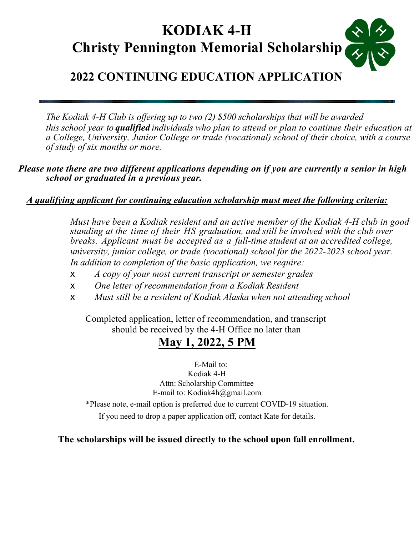# **KODIAK 4-H Christy Pennington Memorial Scholarship**

#### **2022 CONTINUING EDUCATION APPLICATION**

*The Kodiak 4-H Club is offering up to two (2) \$500 scholarships that will be awarded this school year to qualified individuals who plan to attend or plan to continue their education at a College, University, Junior College or trade (vocational) school of their choice, with a course of study of six months or more.* 

*Please note there are two different applications depending on if you are currently a senior in high school or graduated in a previous year.* 

#### *A qualifying applicant for continuing education scholarship must meet the following criteria:*

*Must have been a Kodiak resident and an active member of the Kodiak 4-H club in good standing at the time of their HS graduation, and still be involved with the club over breaks. Applicant must be accepted as a full-time student at an accredited college, university, junior college, or trade (vocational) school for the 2022-2023 school year. In addition to completion of the basic application, we require:*

- ! *A copy of your most current transcript or semester grades*
- ! *One letter of recommendation from a Kodiak Resident*
- ! *Must still be a resident of Kodiak Alaska when not attending school*

Completed application, letter of recommendation, and transcript should be received by the 4-H Office no later than

#### **May 1, 2022, 5 PM**

E-Mail to: Kodiak 4-H Attn: Scholarship Committee E-mail to: Kodiak4h@gmail.com

\*Please note, e-mail option is preferred due to current COVID-19 situation.

If you need to drop a paper application off, contact Kate for details.

#### **The scholarships will be issued directly to the school upon fall enrollment.**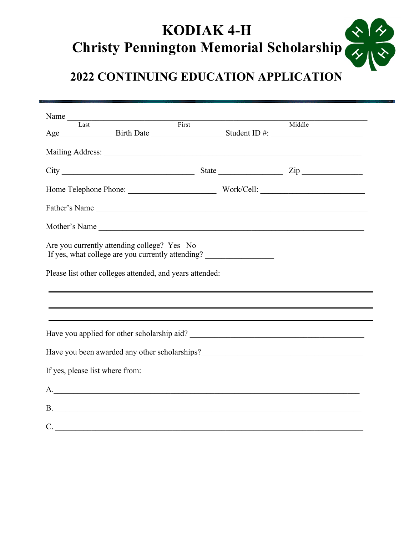# **KODIAK 4-H Christy Pennington Memorial Scholarship**

# **2022 CONTINUING EDUCATION APPLICATION**

| Name Tast First                                                                                                                                              |        |  |
|--------------------------------------------------------------------------------------------------------------------------------------------------------------|--------|--|
|                                                                                                                                                              | Middle |  |
|                                                                                                                                                              |        |  |
|                                                                                                                                                              |        |  |
|                                                                                                                                                              |        |  |
| Father's Name                                                                                                                                                |        |  |
| Mother's Name                                                                                                                                                |        |  |
| Are you currently attending college? Yes No<br>If yes, what college are you currently attending?<br>Please list other colleges attended, and years attended: |        |  |
|                                                                                                                                                              |        |  |
|                                                                                                                                                              |        |  |
|                                                                                                                                                              |        |  |
|                                                                                                                                                              |        |  |
| If yes, please list where from:                                                                                                                              |        |  |
| А.<br><u> 1988 - Johann Stoff, deutscher Stoffen und der Stoffen und der Stoffen und der Stoffen und der Stoffen und d</u>                                   |        |  |
| <b>B</b> .                                                                                                                                                   |        |  |
| $\mathcal{C}$ .                                                                                                                                              |        |  |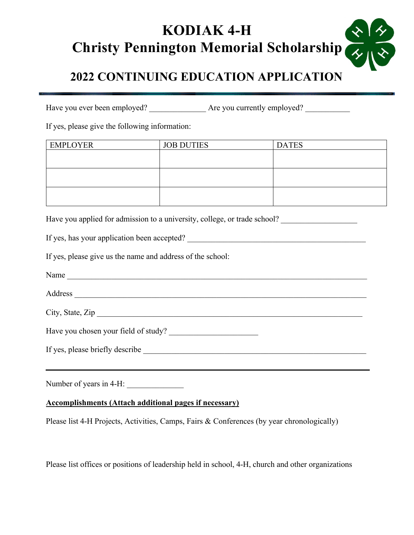## **KODIAK 4-H**  $\frac{1}{2}$ **Christy Pennington Memorial Scholarship**

## **2022 CONTINUING EDUCATION APPLICATION**

Have you ever been employed? \_\_\_\_\_\_\_\_\_\_\_\_\_\_ Are you currently employed? \_\_\_\_\_\_\_\_\_\_\_

If yes, please give the following information:

| <b>EMPLOYER</b> | <b>JOB DUTIES</b> | <b>DATES</b> |
|-----------------|-------------------|--------------|
|                 |                   |              |
|                 |                   |              |
|                 |                   |              |
|                 |                   |              |
|                 |                   |              |
|                 |                   |              |

Have you applied for admission to a university, college, or trade school?

If yes, has your application been accepted? \_\_\_\_\_\_\_\_\_\_\_\_\_\_\_\_\_\_\_\_\_\_\_\_\_\_\_\_\_\_\_\_\_\_\_\_\_\_\_\_\_\_\_\_

If yes, please give us the name and address of the school:

| $\overline{\phantom{a}}$ |  |
|--------------------------|--|
|                          |  |

Address \_\_\_\_\_\_\_\_\_\_\_\_\_\_\_\_\_\_\_\_\_\_\_\_\_\_\_\_\_\_\_\_\_\_\_\_\_\_\_\_\_\_\_\_\_\_\_\_\_\_\_\_\_\_\_\_\_\_\_\_\_\_\_\_\_\_\_\_\_\_\_\_

|--|

Have you chosen your field of study? \_\_\_\_\_\_\_\_\_\_\_\_\_\_\_\_\_\_\_\_\_\_

If yes, please briefly describe \_\_\_\_\_\_\_\_\_\_\_\_\_\_\_\_\_\_\_\_\_\_\_\_\_\_\_\_\_\_\_\_\_\_\_\_\_\_\_\_\_\_\_\_\_\_\_\_\_\_\_\_\_\_\_

Number of years in 4-H:

#### **Accomplishments (Attach additional pages if necessary)**

Please list 4-H Projects, Activities, Camps, Fairs & Conferences (by year chronologically)

Please list offices or positions of leadership held in school, 4-H, church and other organizations